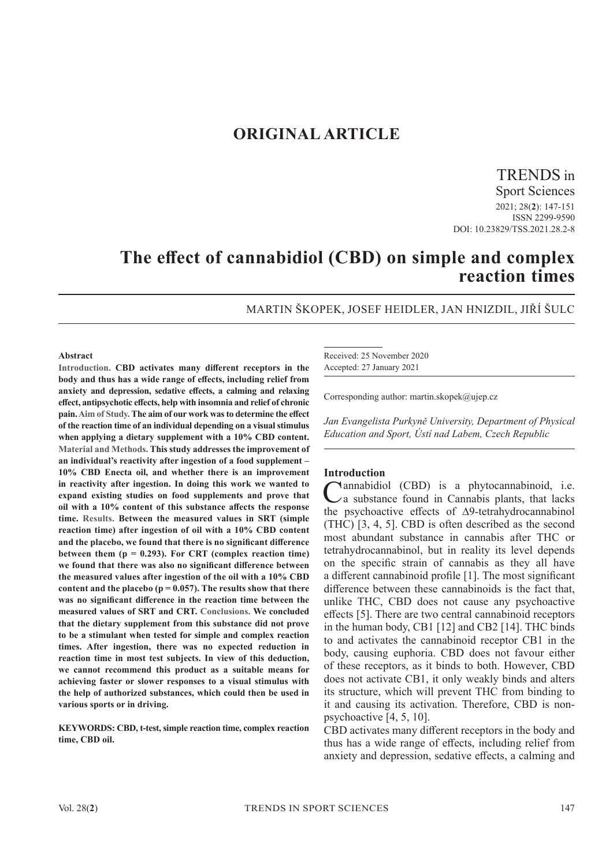# **ORIGINAL ARTICLE**

TRENDS in

Sport Sciences 2021; 28(**2**): 147-151 ISSN 2299-9590 DOI: 10.23829/TSS.2021.28.2-8

# **The effect of cannabidiol (CBD) on simple and complex reaction times**

MARTIN ŠKOPEK, JOSEF HEIDLER, JAN HNIZDIL, JIŘÍ ŠULC

#### **Abstract**

**Introduction. CBD activates many different receptors in the body and thus has a wide range of effects, including relief from anxiety and depression, sedative effects, a calming and relaxing effect, antipsychotic effects, help with insomnia and relief of chronic pain. Aim of Study. The aim of our work was to determine the effect of the reaction time of an individual depending on a visual stimulus when applying a dietary supplement with a 10% CBD content. Material and Methods. This study addresses the improvement of an individual's reactivity after ingestion of a food supplement – 10% CBD Enecta oil, and whether there is an improvement in reactivity after ingestion. In doing this work we wanted to expand existing studies on food supplements and prove that oil with a 10% content of this substance affects the response time. Results. Between the measured values in SRT (simple reaction time) after ingestion of oil with a 10% CBD content and the placebo, we found that there is no significant difference between them (p = 0.293). For CRT (complex reaction time) we found that there was also no significant difference between the measured values after ingestion of the oil with a 10% CBD content and the placebo (p = 0.057). The results show that there was no significant difference in the reaction time between the measured values of SRT and CRT. Conclusions. We concluded that the dietary supplement from this substance did not prove to be a stimulant when tested for simple and complex reaction times. After ingestion, there was no expected reduction in reaction time in most test subjects. In view of this deduction, we cannot recommend this product as a suitable means for achieving faster or slower responses to a visual stimulus with the help of authorized substances, which could then be used in various sports or in driving.**

**KEYWORDS: CBD, t-test, simple reaction time, complex reaction time, CBD oil.**

Received: 25 November 2020 Accepted: 27 January 2021

Corresponding author: martin.skopek@ujep.cz

*Jan Evangelista Purkyně University, Department of Physical Education and Sport, Ústí nad Labem, Czech Republic*

#### **Introduction**

Cannabidiol (CBD) is a phytocannabinoid, i.e.  $\mathcal{L}$ a substance found in Cannabis plants, that lacks the psychoactive effects of ∆9-tetrahydrocannabinol (THC) [3, 4, 5]. CBD is often described as the second most abundant substance in cannabis after THC or tetrahydrocannabinol, but in reality its level depends on the specific strain of cannabis as they all have a different cannabinoid profile [1]. The most significant difference between these cannabinoids is the fact that, unlike THC, CBD does not cause any psychoactive effects [5]. There are two central cannabinoid receptors in the human body, CB1 [12] and CB2 [14]. THC binds to and activates the cannabinoid receptor CB1 in the body, causing euphoria. CBD does not favour either of these receptors, as it binds to both. However, CBD does not activate CB1, it only weakly binds and alters its structure, which will prevent THC from binding to it and causing its activation. Therefore, CBD is nonpsychoactive [4, 5, 10].

CBD activates many different receptors in the body and thus has a wide range of effects, including relief from anxiety and depression, sedative effects, a calming and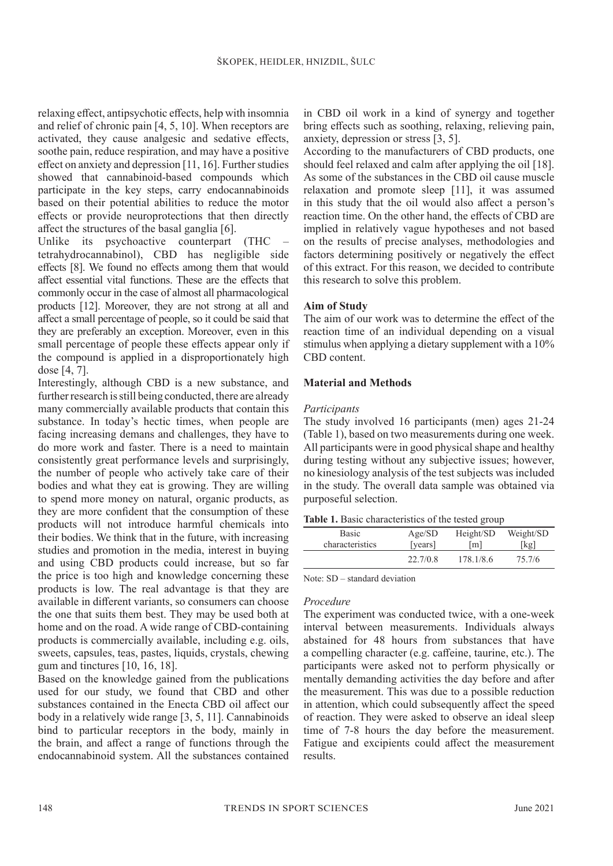relaxing effect, antipsychotic effects, help with insomnia and relief of chronic pain [4, 5, 10]. When receptors are activated, they cause analgesic and sedative effects, soothe pain, reduce respiration, and may have a positive effect on anxiety and depression [11, 16]. Further studies showed that cannabinoid-based compounds which participate in the key steps, carry endocannabinoids based on their potential abilities to reduce the motor effects or provide neuroprotections that then directly affect the structures of the basal ganglia [6].

Unlike its psychoactive counterpart (THC tetrahydrocannabinol), CBD has negligible side effects [8]. We found no effects among them that would affect essential vital functions. These are the effects that commonly occur in the case of almost all pharmacological products [12]. Moreover, they are not strong at all and affect a small percentage of people, so it could be said that they are preferably an exception. Moreover, even in this small percentage of people these effects appear only if the compound is applied in a disproportionately high dose [4, 7].

Interestingly, although CBD is a new substance, and further research is still being conducted, there are already many commercially available products that contain this substance. In today's hectic times, when people are facing increasing demans and challenges, they have to do more work and faster. There is a need to maintain consistently great performance levels and surprisingly, the number of people who actively take care of their bodies and what they eat is growing. They are willing to spend more money on natural, organic products, as they are more confident that the consumption of these products will not introduce harmful chemicals into their bodies. We think that in the future, with increasing studies and promotion in the media, interest in buying and using CBD products could increase, but so far the price is too high and knowledge concerning these products is low. The real advantage is that they are available in different variants, so consumers can choose the one that suits them best. They may be used both at home and on the road. A wide range of CBD-containing products is commercially available, including e.g. oils, sweets, capsules, teas, pastes, liquids, crystals, chewing gum and tinctures [10, 16, 18].

Based on the knowledge gained from the publications used for our study, we found that CBD and other substances contained in the Enecta CBD oil affect our body in a relatively wide range [3, 5, 11]. Cannabinoids bind to particular receptors in the body, mainly in the brain, and affect a range of functions through the endocannabinoid system. All the substances contained

in CBD oil work in a kind of synergy and together bring effects such as soothing, relaxing, relieving pain, anxiety, depression or stress [3, 5].

According to the manufacturers of CBD products, one should feel relaxed and calm after applying the oil [18]. As some of the substances in the CBD oil cause muscle relaxation and promote sleep [11], it was assumed in this study that the oil would also affect a person's reaction time. On the other hand, the effects of CBD are implied in relatively vague hypotheses and not based on the results of precise analyses, methodologies and factors determining positively or negatively the effect of this extract. For this reason, we decided to contribute this research to solve this problem.

# **Aim of Study**

The aim of our work was to determine the effect of the reaction time of an individual depending on a visual stimulus when applying a dietary supplement with a 10% CBD content.

# **Material and Methods**

#### *Participants*

The study involved 16 participants (men) ages 21-24 (Table 1), based on two measurements during one week. All participants were in good physical shape and healthy during testing without any subjective issues; however, no kinesiology analysis of the test subjects was included in the study. The overall data sample was obtained via purposeful selection.

|  |  |  | Table 1. Basic characteristics of the tested group |  |  |  |
|--|--|--|----------------------------------------------------|--|--|--|
|--|--|--|----------------------------------------------------|--|--|--|

| <b>Basic</b>    | Age/SD   | Height/SD         | Weight/SD |  |
|-----------------|----------|-------------------|-----------|--|
| characteristics | [years]  | $\lceil m \rceil$ | [kg]      |  |
|                 | 22.7/0.8 | 178.1/8.6         | 75.7/6    |  |
|                 |          |                   |           |  |

Note: SD – standard deviation

#### *Procedure*

The experiment was conducted twice, with a one-week interval between measurements. Individuals always abstained for 48 hours from substances that have a compelling character (e.g. caffeine, taurine, etc.). The participants were asked not to perform physically or mentally demanding activities the day before and after the measurement. This was due to a possible reduction in attention, which could subsequently affect the speed of reaction. They were asked to observe an ideal sleep time of 7-8 hours the day before the measurement. Fatigue and excipients could affect the measurement results.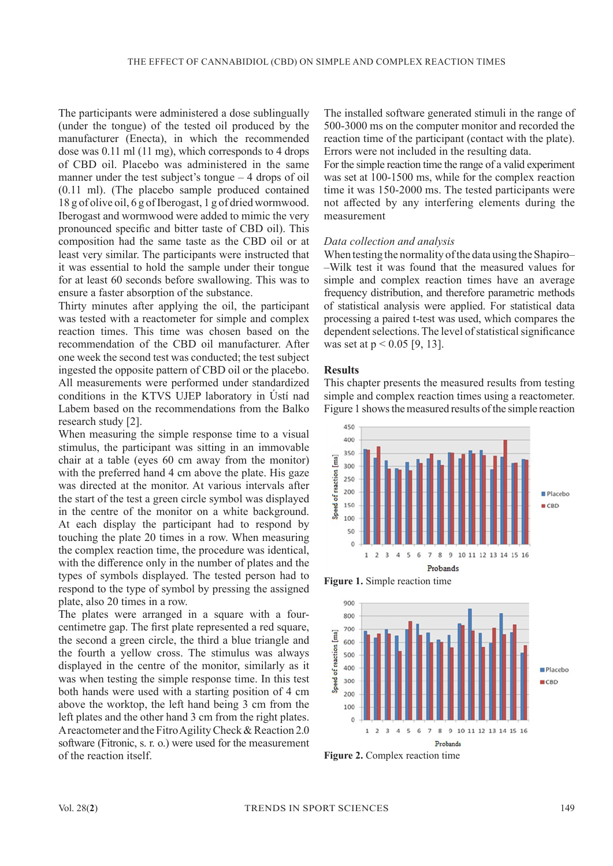The participants were administered a dose sublingually (under the tongue) of the tested oil produced by the manufacturer (Enecta), in which the recommended dose was 0.11 ml (11 mg), which corresponds to 4 drops of CBD oil. Placebo was administered in the same manner under the test subject's tongue – 4 drops of oil (0.11 ml). (The placebo sample produced contained 18 g of olive oil, 6 g of Iberogast, 1 g of dried wormwood. Iberogast and wormwood were added to mimic the very pronounced specific and bitter taste of CBD oil). This composition had the same taste as the CBD oil or at least very similar. The participants were instructed that it was essential to hold the sample under their tongue for at least 60 seconds before swallowing. This was to ensure a faster absorption of the substance.

Thirty minutes after applying the oil, the participant was tested with a reactometer for simple and complex reaction times. This time was chosen based on the recommendation of the CBD oil manufacturer. After one week the second test was conducted; the test subject ingested the opposite pattern of CBD oil or the placebo. All measurements were performed under standardized conditions in the KTVS UJEP laboratory in Ústí nad Labem based on the recommendations from the Balko research study [2].

When measuring the simple response time to a visual stimulus, the participant was sitting in an immovable chair at a table (eyes 60 cm away from the monitor) with the preferred hand 4 cm above the plate. His gaze was directed at the monitor. At various intervals after the start of the test a green circle symbol was displayed in the centre of the monitor on a white background. At each display the participant had to respond by touching the plate 20 times in a row. When measuring the complex reaction time, the procedure was identical, with the difference only in the number of plates and the types of symbols displayed. The tested person had to respond to the type of symbol by pressing the assigned plate, also 20 times in a row.

The plates were arranged in a square with a fourcentimetre gap. The first plate represented a red square, the second a green circle, the third a blue triangle and the fourth a yellow cross. The stimulus was always displayed in the centre of the monitor, similarly as it was when testing the simple response time. In this test both hands were used with a starting position of 4 cm above the worktop, the left hand being 3 cm from the left plates and the other hand 3 cm from the right plates. A reactometer and the Fitro Agility Check & Reaction 2.0 software (Fitronic, s. r. o.) were used for the measurement of the reaction itself.

The installed software generated stimuli in the range of 500-3000 ms on the computer monitor and recorded the reaction time of the participant (contact with the plate). Errors were not included in the resulting data.

For the simple reaction time the range of a valid experiment was set at 100-1500 ms, while for the complex reaction time it was 150-2000 ms. The tested participants were not affected by any interfering elements during the measurement

# *Data collection and analysis*

When testing the normality of the data using the Shapiro– –Wilk test it was found that the measured values for simple and complex reaction times have an average frequency distribution, and therefore parametric methods of statistical analysis were applied. For statistical data processing a paired t-test was used, which compares the dependent selections. The level of statistical significance was set at  $p < 0.05$  [9, 13].

#### **Results**

This chapter presents the measured results from testing simple and complex reaction times using a reactometer. Figure 1 shows the measured results of the simple reaction



**Figure 1.** Simple reaction time



**Figure 2.** Complex reaction time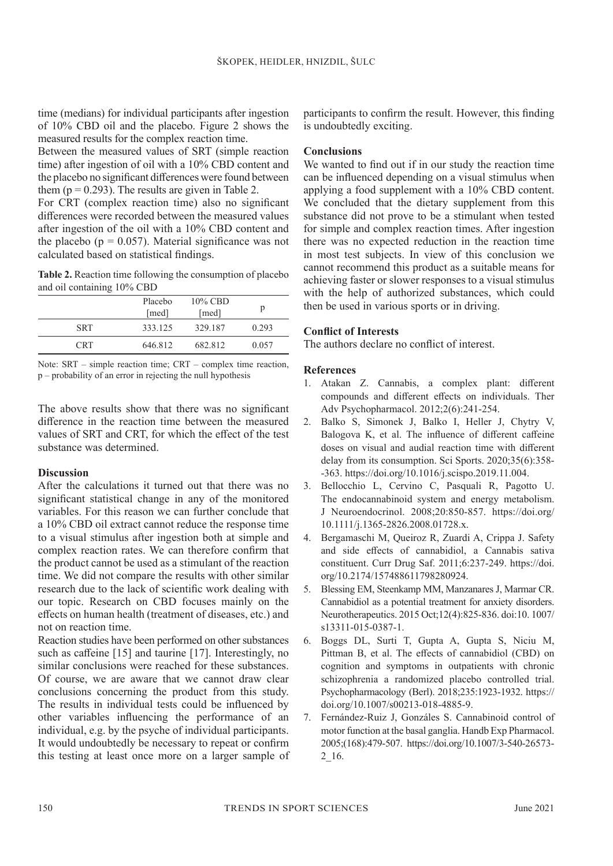time (medians) for individual participants after ingestion of 10% CBD oil and the placebo. Figure 2 shows the measured results for the complex reaction time.

Between the measured values of SRT (simple reaction time) after ingestion of oil with a 10% CBD content and the placebo no significant differences were found between them ( $p = 0.293$ ). The results are given in Table 2.

For CRT (complex reaction time) also no significant differences were recorded between the measured values after ingestion of the oil with a 10% CBD content and the placebo ( $p = 0.057$ ). Material significance was not calculated based on statistical findings.

**Table 2.** Reaction time following the consumption of placebo and oil containing 10% CBD

|            | Placebo<br>[med] | $10\%$ CBD<br>[med] |       |
|------------|------------------|---------------------|-------|
| <b>SRT</b> | 333.125          | 329.187             | 0.293 |
| <b>CRT</b> | 646.812          | 682.812             | 0.057 |

Note: SRT – simple reaction time; CRT – complex time reaction, p – probability of an error in rejecting the null hypothesis

The above results show that there was no significant difference in the reaction time between the measured values of SRT and CRT, for which the effect of the test substance was determined.

#### **Discussion**

After the calculations it turned out that there was no significant statistical change in any of the monitored variables. For this reason we can further conclude that a 10% CBD oil extract cannot reduce the response time to a visual stimulus after ingestion both at simple and complex reaction rates. We can therefore confirm that the product cannot be used as a stimulant of the reaction time. We did not compare the results with other similar research due to the lack of scientific work dealing with our topic. Research on CBD focuses mainly on the effects on human health (treatment of diseases, etc.) and not on reaction time.

Reaction studies have been performed on other substances such as caffeine [15] and taurine [17]. Interestingly, no similar conclusions were reached for these substances. Of course, we are aware that we cannot draw clear conclusions concerning the product from this study. The results in individual tests could be influenced by other variables influencing the performance of an individual, e.g. by the psyche of individual participants. It would undoubtedly be necessary to repeat or confirm this testing at least once more on a larger sample of

participants to confirm the result. However, this finding is undoubtedly exciting.

# **Conclusions**

We wanted to find out if in our study the reaction time can be influenced depending on a visual stimulus when applying a food supplement with a 10% CBD content. We concluded that the dietary supplement from this substance did not prove to be a stimulant when tested for simple and complex reaction times. After ingestion there was no expected reduction in the reaction time in most test subjects. In view of this conclusion we cannot recommend this product as a suitable means for achieving faster or slower responses to a visual stimulus with the help of authorized substances, which could then be used in various sports or in driving.

# **Conflict of Interests**

The authors declare no conflict of interest.

# **References**

- 1. Atakan Z. Cannabis, a complex plant: different compounds and different effects on individuals. Ther Adv Psychopharmacol. 2012;2(6):241-254.
- 2. Balko S, Simonek J, Balko I, Heller J, Chytry V, Balogova K, et al. The influence of different caffeine doses on visual and audial reaction time with different delay from its consumption. Sci Sports. 2020;35(6):358- -363. https://doi.org/10.1016/j.scispo.2019.11.004.
- 3. Bellocchio L, Cervino C, Pasquali R, Pagotto U. The endocannabinoid system and energy metabolism. J Neuroendocrinol. 2008;20:850-857. https://doi.org/ 10.1111/j.1365-2826.2008.01728.x.
- 4. Bergamaschi M, Queiroz R, Zuardi A, Crippa J. Safety and side effects of cannabidiol, a Cannabis sativa constituent. Curr Drug Saf. 2011;6:237-249. https://doi. org/10.2174/157488611798280924.
- 5. Blessing EM, Steenkamp MM, Manzanares J, Marmar CR. Cannabidiol as a potential treatment for anxiety disorders. Neurotherapeutics. 2015 Oct;12(4):825-836. doi:10. 1007/ s13311-015-0387-1.
- 6. Boggs DL, Surti T, Gupta A, Gupta S, Niciu M, Pittman B, et al. The effects of cannabidiol (CBD) on cognition and symptoms in outpatients with chronic schizophrenia a randomized placebo controlled trial. Psychopharmacology (Berl). 2018;235:1923-1932. https:// doi.org/10.1007/s00213-018-4885-9.
- 7. Fernández-Ruiz J, Gonzáles S. Cannabinoid control of motor function at the basal ganglia. Handb Exp Pharmacol. 2005;(168):479-507. https://doi.org/10.1007/3-540-26573- 2\_16.